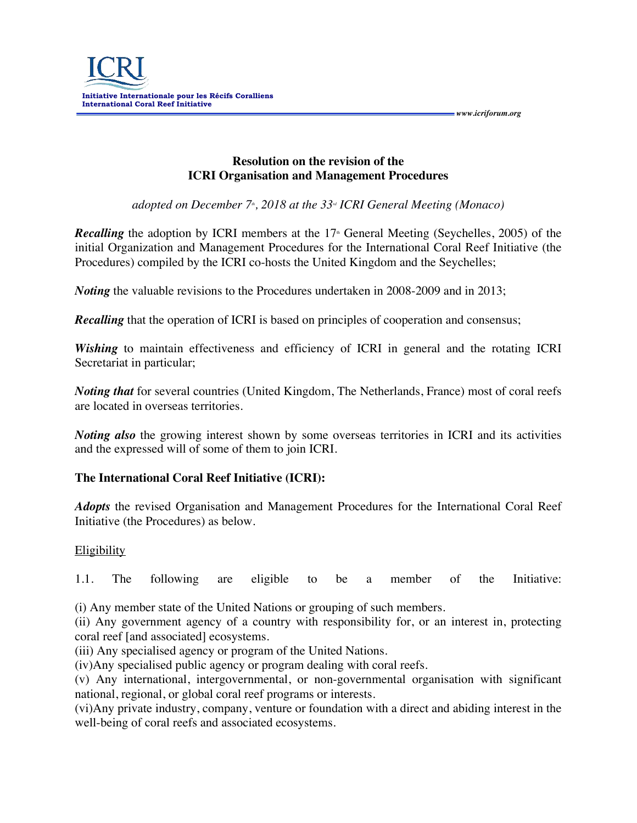

**Resolution on the revision of the ICRI Organisation and Management Procedures**

 *www.icriforum.org* 

*adopted on December 7<sup>\*</sup>, 2018 at the 33<sup>-<i>d*</sup> *ICRI General Meeting (Monaco)* 

*Recalling* the adoption by ICRI members at the 17<sup>th</sup> General Meeting (Seychelles, 2005) of the initial Organization and Management Procedures for the International Coral Reef Initiative (the Procedures) compiled by the ICRI co-hosts the United Kingdom and the Seychelles;

*Noting* the valuable revisions to the Procedures undertaken in 2008-2009 and in 2013;

**Recalling** that the operation of ICRI is based on principles of cooperation and consensus;

*Wishing* to maintain effectiveness and efficiency of ICRI in general and the rotating ICRI Secretariat in particular;

*Noting that* for several countries (United Kingdom, The Netherlands, France) most of coral reefs are located in overseas territories.

*Noting also* the growing interest shown by some overseas territories in ICRI and its activities and the expressed will of some of them to join ICRI.

## **The International Coral Reef Initiative (ICRI):**

*Adopts* the revised Organisation and Management Procedures for the International Coral Reef Initiative (the Procedures) as below.

## Eligibility

1.1. The following are eligible to be a member of the Initiative:

(i) Any member state of the United Nations or grouping of such members.

(ii) Any government agency of a country with responsibility for, or an interest in, protecting coral reef [and associated] ecosystems.

(iii) Any specialised agency or program of the United Nations.

(iv)Any specialised public agency or program dealing with coral reefs.

(v) Any international, intergovernmental, or non-governmental organisation with significant national, regional, or global coral reef programs or interests.

(vi)Any private industry, company, venture or foundation with a direct and abiding interest in the well-being of coral reefs and associated ecosystems.